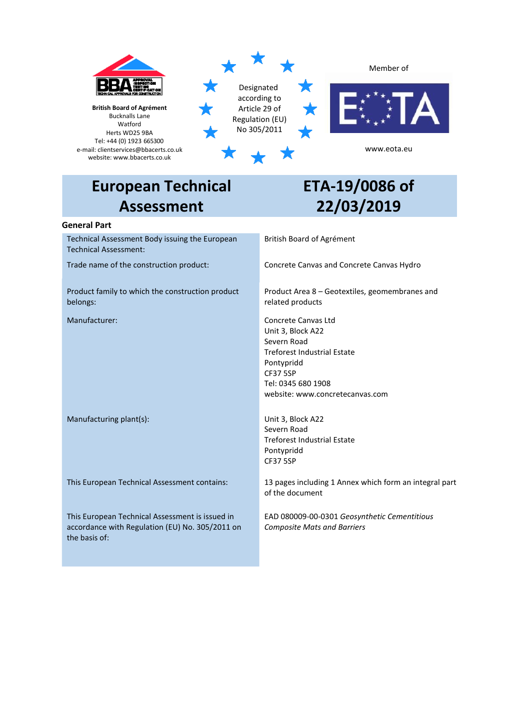

# **European Technical Assessment**

# **ETA-19/0086 of 22/03/2019**

# **General Part**

Technical Assessment Body issuing the European Technical Assessment:

Product family to which the construction product belongs:

Manufacturing plant(s): Unit 3, Block A22

This European Technical Assessment is issued in accordance with Regulation (EU) No. 305/2011 on the basis of:

# British Board of Agrément

Trade name of the construction product: Concrete Canvas and Concrete Canvas Hydro

Product Area 8 – Geotextiles, geomembranes and related products

Manufacturer: Concrete Canvas Ltd Unit 3, Block A22 Severn Road Treforest Industrial Estate Pontypridd CF37 5SP Tel: 0345 680 1908 website[: www.concretecanvas.com](http://www.concretecanvas.com/)

> Severn Road Treforest Industrial Estate Pontypridd CF37 5SP

This European Technical Assessment contains: 13 pages including 1 Annex which form an integral part of the document

> EAD 080009-00-0301 *Geosynthetic Cementitious Composite Mats and Barriers*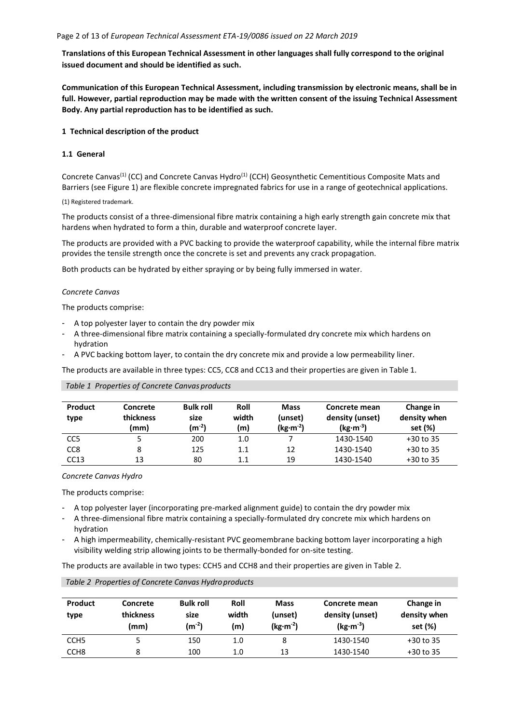**Translations of this European Technical Assessment in other languages shall fully correspond to the original issued document and should be identified as such.**

**Communication of this European Technical Assessment, including transmission by electronic means, shall be in full. However, partial reproduction may be made with the written consent of the issuing Technical Assessment Body. Any partial reproduction has to be identified as such.**

#### **1 Technical description of the product**

# **1.1 General**

Concrete Canvas<sup>(1)</sup> (CC) and Concrete Canvas Hydro<sup>(1)</sup> (CCH) Geosynthetic Cementitious Composite Mats and Barriers (see Figure 1) are flexible concrete impregnated fabrics for use in a range of geotechnical applications.

#### (1) Registered trademark.

The products consist of a three-dimensional fibre matrix containing a high early strength gain concrete mix that hardens when hydrated to form a thin, durable and waterproof concrete layer.

The products are provided with a PVC backing to provide the waterproof capability, while the internal fibre matrix provides the tensile strength once the concrete is set and prevents any crack propagation.

Both products can be hydrated by either spraying or by being fully immersed in water.

#### *Concrete Canvas*

The products comprise:

- A top polyester layer to contain the dry powder mix
- A three-dimensional fibre matrix containing a specially-formulated dry concrete mix which hardens on hydration
- A PVC backing bottom layer, to contain the dry concrete mix and provide a low permeability liner.

The products are available in three types: CC5, CC8 and CC13 and their properties are given in Table 1.

#### *Table 1 Properties of Concrete Canvas products*

| <b>Product</b><br>type | Concrete<br>thickness<br>(mm) | <b>Bulk roll</b><br>size<br>$(m^{-2})$ | Roll<br>width<br>(m) | <b>Mass</b><br>(unset)<br>$(kg·m-2)$ | Concrete mean<br>density (unset)<br>$(kg·m-3)$ | Change in<br>density when<br>set (%) |
|------------------------|-------------------------------|----------------------------------------|----------------------|--------------------------------------|------------------------------------------------|--------------------------------------|
| CC <sub>5</sub>        |                               | 200                                    | 1.0                  |                                      | 1430-1540                                      | $+30$ to 35                          |
| CC <sub>8</sub>        | 8                             | 125                                    | 1.1                  | 12                                   | 1430-1540                                      | $+30$ to 35                          |
| CC13                   | 13                            | 80                                     | $1.1\,$              | 19                                   | 1430-1540                                      | $+30$ to 35                          |

#### *Concrete Canvas Hydro*

The products comprise:

- A top polyester layer (incorporating pre-marked alignment guide) to contain the dry powder mix
- A three-dimensional fibre matrix containing a specially-formulated dry concrete mix which hardens on hydration
- A high impermeability, chemically-resistant PVC geomembrane backing bottom layer incorporating a high visibility welding strip allowing joints to be thermally-bonded for on-site testing.

The products are available in two types: CCH5 and CCH8 and their properties are given in Table 2.

| Product<br>type  | Concrete<br>thickness<br>(mm) | <b>Bulk roll</b><br>size<br>$(m^{-2})$ | Roll<br>width<br>(m) | <b>Mass</b><br>(unset)<br>$(kg·m-2)$ | Concrete mean<br>density (unset)<br>$(kg·m-3)$ | Change in<br>density when<br>set (%) |
|------------------|-------------------------------|----------------------------------------|----------------------|--------------------------------------|------------------------------------------------|--------------------------------------|
| CCH <sub>5</sub> | 5                             | 150                                    | 1.0                  | 8                                    | 1430-1540                                      | $+30$ to 35                          |
| CCH <sub>8</sub> | 8                             | 100                                    | 1.0                  | 13                                   | 1430-1540                                      | $+30$ to 35                          |

#### *Table 2 Properties of Concrete Canvas Hydro products*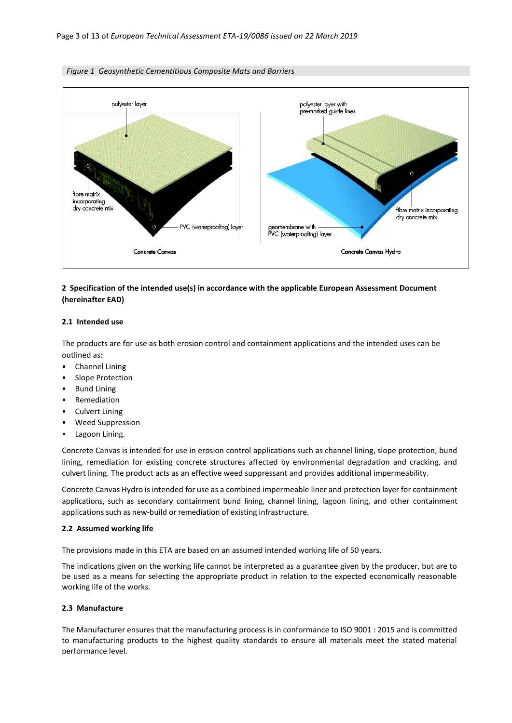

#### *Figure 1 Geosynthetic Cementitious Composite Mats and Barriers*

# **2 Specification of the intended use(s) in accordance with the applicable European Assessment Document (hereinafter EAD)**

#### **2.1 Intended use**

The products are for use as both erosion control and containment applications and the intended uses can be outlined as:

- Channel Lining
- Slope Protection
- Bund Lining
- **Remediation**
- Culvert Lining
- Weed Suppression
- Lagoon Lining.

Concrete Canvas is intended for use in erosion control applications such as channel lining, slope protection, bund lining, remediation for existing concrete structures affected by environmental degradation and cracking, and culvert lining. The product acts as an effective weed suppressant and provides additional impermeability.

Concrete Canvas Hydro is intended for use as a combined impermeable liner and protection layer for containment applications, such as secondary containment bund lining, channel lining, lagoon lining, and other containment applications such as new-build or remediation of existing infrastructure.

#### **2.2 Assumed working life**

The provisions made in this ETA are based on an assumed intended working life of 50 years.

The indications given on the working life cannot be interpreted as a guarantee given by the producer, but are to be used as a means for selecting the appropriate product in relation to the expected economically reasonable working life of the works.

# **2.3 Manufacture**

The Manufacturer ensures that the manufacturing process is in conformance to ISO 9001 : 2015 and is committed to manufacturing products to the highest quality standards to ensure all materials meet the stated material performance level.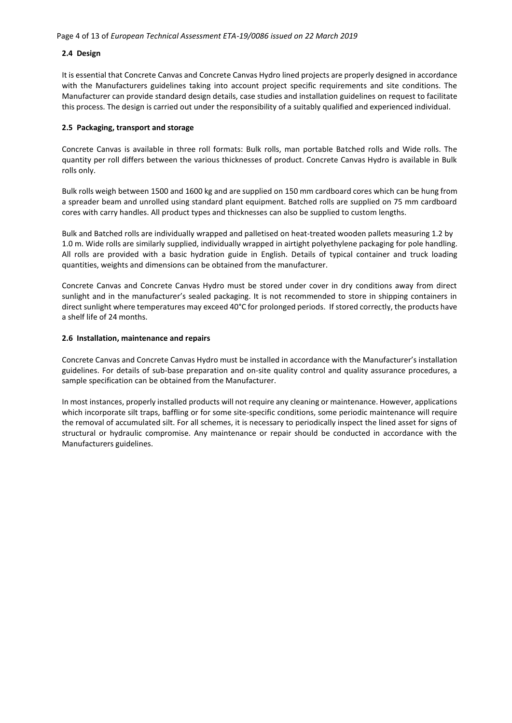# **2.4 Design**

It is essential that Concrete Canvas and Concrete Canvas Hydro lined projects are properly designed in accordance with the Manufacturers guidelines taking into account project specific requirements and site conditions. The Manufacturer can provide standard design details, case studies and installation guidelines on request to facilitate this process. The design is carried out under the responsibility of a suitably qualified and experienced individual.

#### **2.5 Packaging, transport and storage**

Concrete Canvas is available in three roll formats: Bulk rolls, man portable Batched rolls and Wide rolls. The quantity per roll differs between the various thicknesses of product. Concrete Canvas Hydro is available in Bulk rolls only.

Bulk rolls weigh between 1500 and 1600 kg and are supplied on 150 mm cardboard cores which can be hung from a spreader beam and unrolled using standard plant equipment. Batched rolls are supplied on 75 mm cardboard cores with carry handles. All product types and thicknesses can also be supplied to custom lengths.

Bulk and Batched rolls are individually wrapped and palletised on heat-treated wooden pallets measuring 1.2 by 1.0 m. Wide rolls are similarly supplied, individually wrapped in airtight polyethylene packaging for pole handling. All rolls are provided with a basic hydration guide in English. Details of typical container and truck loading quantities, weights and dimensions can be obtained from the manufacturer.

Concrete Canvas and Concrete Canvas Hydro must be stored under cover in dry conditions away from direct sunlight and in the manufacturer's sealed packaging. It is not recommended to store in shipping containers in direct sunlight where temperatures may exceed 40°C for prolonged periods. If stored correctly, the products have a shelf life of 24 months.

### **2.6 Installation, maintenance and repairs**

Concrete Canvas and Concrete Canvas Hydro must be installed in accordance with the Manufacturer's installation guidelines. For details of sub-base preparation and on-site quality control and quality assurance procedures, a sample specification can be obtained from the Manufacturer.

In most instances, properly installed products will not require any cleaning or maintenance. However, applications which incorporate silt traps, baffling or for some site-specific conditions, some periodic maintenance will require the removal of accumulated silt. For all schemes, it is necessary to periodically inspect the lined asset for signs of structural or hydraulic compromise. Any maintenance or repair should be conducted in accordance with the Manufacturers guidelines.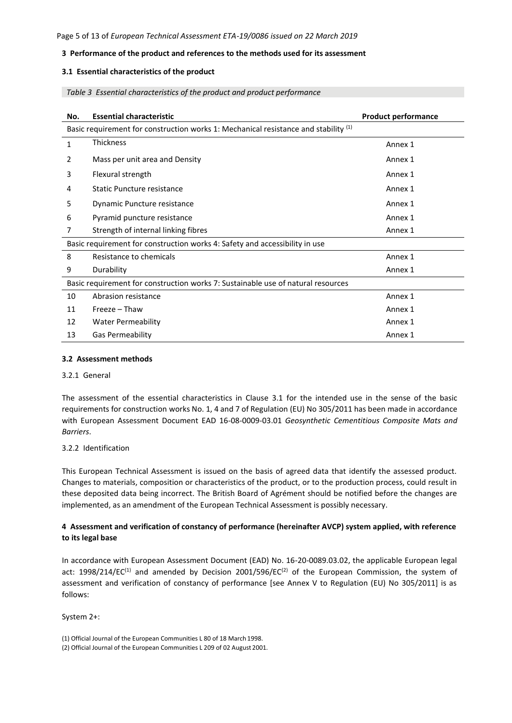# **3 Performance of the product and references to the methods used for its assessment**

# **3.1 Essential characteristics of the product**

*Table 3 Essential characteristics of the product and product performance*

| No. | <b>Essential characteristic</b>                                                     | <b>Product performance</b> |
|-----|-------------------------------------------------------------------------------------|----------------------------|
|     | Basic requirement for construction works 1: Mechanical resistance and stability (1) |                            |
| 1   | Thickness                                                                           | Annex 1                    |
| 2   | Mass per unit area and Density                                                      | Annex 1                    |
| 3   | Flexural strength                                                                   | Annex 1                    |
| 4   | Static Puncture resistance                                                          | Annex 1                    |
| 5   | Dynamic Puncture resistance                                                         | Annex 1                    |
| 6   | Pyramid puncture resistance                                                         | Annex 1                    |
| 7   | Strength of internal linking fibres                                                 | Annex 1                    |
|     | Basic requirement for construction works 4: Safety and accessibility in use         |                            |
| 8   | Resistance to chemicals                                                             | Annex 1                    |
| 9   | Durability                                                                          | Annex 1                    |
|     | Basic requirement for construction works 7: Sustainable use of natural resources    |                            |
| 10  | Abrasion resistance                                                                 | Annex 1                    |
| 11  | Freeze – Thaw                                                                       | Annex 1                    |
| 12  | Water Permeability                                                                  | Annex 1                    |
| 13  | <b>Gas Permeability</b>                                                             | Annex 1                    |

#### **3.2 Assessment methods**

#### 3.2.1 General

The assessment of the essential characteristics in Clause 3.1 for the intended use in the sense of the basic requirements for construction works No. 1, 4 and 7 of Regulation (EU) No 305/2011 has been made in accordance with European Assessment Document EAD 16-08-0009-03.01 *Geosynthetic Cementitious Composite Mats and Barriers*.

#### 3.2.2 Identification

This European Technical Assessment is issued on the basis of agreed data that identify the assessed product. Changes to materials, composition or characteristics of the product, or to the production process, could result in these deposited data being incorrect. The British Board of Agrément should be notified before the changes are implemented, as an amendment of the European Technical Assessment is possibly necessary.

# **4 Assessment and verification of constancy of performance (hereinafter AVCP) system applied, with reference to its legal base**

In accordance with European Assessment Document (EAD) No. 16-20-0089.03.02, the applicable European legal act: 1998/214/EC<sup>(1)</sup> and amended by Decision 2001/596/EC<sup>(2)</sup> of the European Commission, the system of assessment and verification of constancy of performance [see Annex V to Regulation (EU) No 305/2011] is as follows:

System 2+:

<sup>(1)</sup> Official Journal of the European Communities L 80 of 18 March 1998.

<sup>(2)</sup> Official Journal of the European Communities L 209 of 02 August 2001.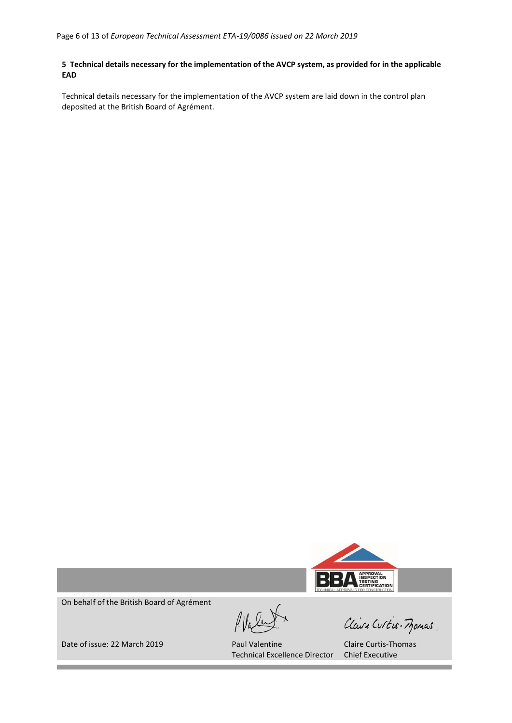# 5 Technical details necessary for the implementation of the AVCP system, as provided for in the applicable **EAD**

Technical details necessary for the implementation of the AVCP system are laid down in the control plan deposited at the British Board of Agrément.



On behalf of the British Board of Agrément

Claire Curtis-Momas

Date of issue: 22 March 2019 Paul Valentine

Technical Excellence Director

Claire Curtis-Thomas Chief Executive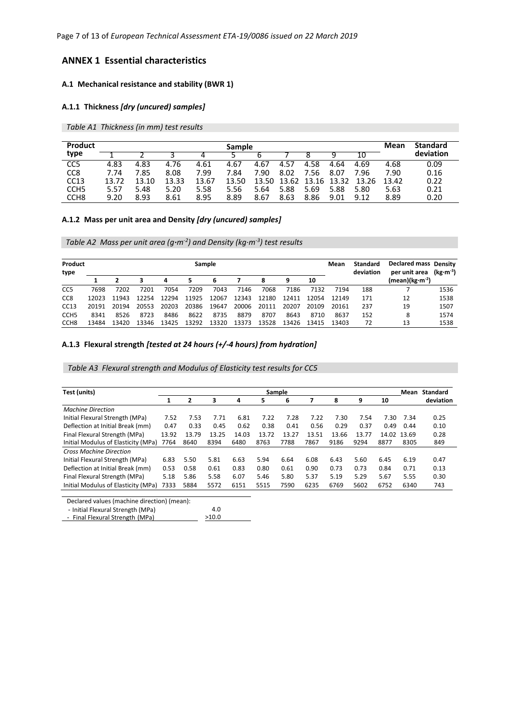Page 7 of 13 of *European Technical Assessment ETA-19/0086 issued on 22 March 2019*

# **ANNEX 1 Essential characteristics**

# **A.1 Mechanical resistance and stability (BWR 1)**

# **A.1.1 Thickness** *[dry (uncured) samples]*

*Table A1 Thickness (in mm) test results*

| <b>Product</b>   |       |       |       |       | <b>Sample</b> |       |       |           |       |            | Mean  | <b>Standard</b> |
|------------------|-------|-------|-------|-------|---------------|-------|-------|-----------|-------|------------|-------|-----------------|
| type             |       |       |       |       |               |       |       |           |       |            |       | deviation       |
| CC <sub>5</sub>  | 4.83  | 4.83  | 4.76  | 4.61  | 4.67          | 4.67  | 4.57  | 4.58      | 4.64  | 4.69       | 4.68  | 0.09            |
| CC <sub>8</sub>  | 7.74  | 7.85  | 8.08  | 7.99  | 7.84          | 7.90  | 8.02  | 7.56      | 8.07  | .96        | 7.90  | 0.16            |
| CC13             | 13.72 | 13.10 | 13.33 | 13.67 | 13.50         | 13.50 | 13.62 | 16.<br>13 | 13.32 | 13.7<br>26 | 13.42 | 0.22            |
| CCH <sub>5</sub> | 5.57  | 5.48  | 5.20  | 5.58  | 5.56          | 5.64  | 5.88  | 5.69      | 5.88  | 5.80       | 5.63  | 0.21            |
| CCH <sub>8</sub> | 9.20  | 8.93  | 8.61  | 8.95  | 8.89          | 8.67  | 8.63  | 8.86      | 9.01  | 9.12       | 8.89  | 0.20            |

# **A.1.2 Mass per unit area and Density** *[dry (uncured) samples]*

*Table A2 Mass per unit area (g·m-2 ) and Density (kg·m-3 ) test results* 

| Product<br>type  |       |       |       |       | Sample |       |       |       |       |       | Mean  | <b>Standard</b><br>deviation | <b>Declared mass Density</b><br>per unit area | (kg·m <sup>-3</sup> ) |
|------------------|-------|-------|-------|-------|--------|-------|-------|-------|-------|-------|-------|------------------------------|-----------------------------------------------|-----------------------|
|                  |       |       |       | 4     |        |       |       | 8     | 9     | 10    |       |                              | (mean)(kg·m <sup>-2</sup> )                   |                       |
| CC <sub>5</sub>  | 7698  | 7202  | 7201  | 7054  | 7209   | 7043  | 7146  | 7068  | 7186  | 7132  | 7194  | 188                          |                                               | 1536                  |
| CC <sub>8</sub>  | 12023 | 11943 | 12254 | 12294 | 11925  | 12067 | 12343 | 12180 | 12411 | 12054 | 12149 | 171                          | 12                                            | 1538                  |
| CC13             | 20191 | 20194 | 20553 | 20203 | 20386  | 19647 | 20006 | 20111 | 20207 | 20109 | 20161 | 237                          | 19                                            | 1507                  |
| CCH <sub>5</sub> | 8341  | 8526  | 8723  | 8486  | 8622   | 8735  | 8879  | 8707  | 8643  | 8710  | 8637  | 152                          | 8                                             | 1574                  |
| CCH <sub>8</sub> | 13484 | 13420 | 13346 | 13425 | 13292  | 13320 | 13373 | 13528 | 13426 | 13415 | 13403 | 72                           | 13                                            | 1538                  |

# **A.1.3 Flexural strength** *[tested at 24 hours (+/-4 hours) from hydration]*

*Table A3 Flexural strength and Modulus of Elasticity test results for CC5*

| Test (units)                        |       |       |       |       | <b>Sample</b> |       |       |       |       |       | Mean  | Standard  |
|-------------------------------------|-------|-------|-------|-------|---------------|-------|-------|-------|-------|-------|-------|-----------|
|                                     | 1     | 2     | 3     | 4     | 5             | 6     |       | 8     | 9     | 10    |       | deviation |
| <b>Machine Direction</b>            |       |       |       |       |               |       |       |       |       |       |       |           |
| Initial Flexural Strength (MPa)     | 7.52  | 7.53  | 7.71  | 6.81  | 7.22          | 7.28  | 7.22  | 7.30  | 7.54  | 7.30  | 7.34  | 0.25      |
| Deflection at Initial Break (mm)    | 0.47  | 0.33  | 0.45  | 0.62  | 0.38          | 0.41  | 0.56  | 0.29  | 0.37  | 0.49  | 0.44  | 0.10      |
| Final Flexural Strength (MPa)       | 13.92 | 13.79 | 13.25 | 14.03 | 13.72         | 13.27 | 13.51 | 13.66 | 13.77 | 14.02 | 13.69 | 0.28      |
| Initial Modulus of Elasticity (MPa) | 7764  | 8640  | 8394  | 6480  | 8763          | 7788  | 7867  | 9186  | 9294  | 8877  | 8305  | 849       |
| <b>Cross Machine Direction</b>      |       |       |       |       |               |       |       |       |       |       |       |           |
| Initial Flexural Strength (MPa)     | 6.83  | 5.50  | 5.81  | 6.63  | 5.94          | 6.64  | 6.08  | 6.43  | 5.60  | 6.45  | 6.19  | 0.47      |
| Deflection at Initial Break (mm)    | 0.53  | 0.58  | 0.61  | 0.83  | 0.80          | 0.61  | 0.90  | 0.73  | 0.73  | 0.84  | 0.71  | 0.13      |
| Final Flexural Strength (MPa)       | 5.18  | 5.86  | 5.58  | 6.07  | 5.46          | 5.80  | 5.37  | 5.19  | 5.29  | 5.67  | 5.55  | 0.30      |
| Initial Modulus of Elasticity (MPa) | 7333  | 5884  | 5572  | 6151  | 5515          | 7590  | 6235  | 6769  | 5602  | 6752  | 6340  | 743       |

Declared values (machine direction) (mean):

- Initial Flexural Strength (MPa) 4.0

 - Final Flexural Strength (MPa) >10.0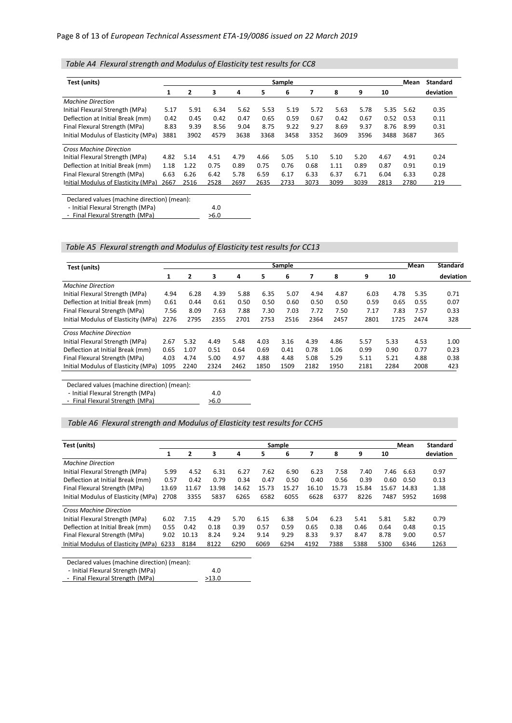*Table A4 Flexural strength and Modulus of Elasticity test results for CC8*

| Test (units)                        |      |      |      |      |      | Sample |      |      |      |      | Mean | <b>Standard</b> |
|-------------------------------------|------|------|------|------|------|--------|------|------|------|------|------|-----------------|
|                                     | 1    | 2    | 3    | 4    | 5.   | 6      |      | 8    | 9    | 10   |      | deviation       |
| <b>Machine Direction</b>            |      |      |      |      |      |        |      |      |      |      |      |                 |
| Initial Flexural Strength (MPa)     | 5.17 | 5.91 | 6.34 | 5.62 | 5.53 | 5.19   | 5.72 | 5.63 | 5.78 | 5.35 | 5.62 | 0.35            |
| Deflection at Initial Break (mm)    | 0.42 | 0.45 | 0.42 | 0.47 | 0.65 | 0.59   | 0.67 | 0.42 | 0.67 | 0.52 | 0.53 | 0.11            |
| Final Flexural Strength (MPa)       | 8.83 | 9.39 | 8.56 | 9.04 | 8.75 | 9.22   | 9.27 | 8.69 | 9.37 | 8.76 | 8.99 | 0.31            |
| Initial Modulus of Elasticity (MPa) | 3881 | 3902 | 4579 | 3638 | 3368 | 3458   | 3352 | 3609 | 3596 | 3488 | 3687 | 365             |
| <b>Cross Machine Direction</b>      |      |      |      |      |      |        |      |      |      |      |      |                 |
| Initial Flexural Strength (MPa)     | 4.82 | 5.14 | 4.51 | 4.79 | 4.66 | 5.05   | 5.10 | 5.10 | 5.20 | 4.67 | 4.91 | 0.24            |
| Deflection at Initial Break (mm)    | 1.18 | 1.22 | 0.75 | 0.89 | 0.75 | 0.76   | 0.68 | 1.11 | 0.89 | 0.87 | 0.91 | 0.19            |
| Final Flexural Strength (MPa)       | 6.63 | 6.26 | 6.42 | 5.78 | 6.59 | 6.17   | 6.33 | 6.37 | 6.71 | 6.04 | 6.33 | 0.28            |
| Initial Modulus of Elasticity (MPa) | 2667 | 2516 | 2528 | 2697 | 2635 | 2733   | 3073 | 3099 | 3039 | 2813 | 2780 | 219             |
|                                     |      |      |      |      |      |        |      |      |      |      |      |                 |

Declared values (machine direction) (mean):

- Initial Flexural Strength (MPa)

 - Final Flexural Strength (MPa)  $>6.0$ 

*Table A5 Flexural strength and Modulus of Elasticity test results for CC13*

4.0

| Test (units)                        |      |                |      |      |      | <b>Sample</b> |      |      |      |      | Mean | <b>Standard</b> |
|-------------------------------------|------|----------------|------|------|------|---------------|------|------|------|------|------|-----------------|
|                                     | 1    | $\overline{2}$ | з    | 4    | 5.   | 6             |      | 8    | 9    | 10   |      | deviation       |
| <b>Machine Direction</b>            |      |                |      |      |      |               |      |      |      |      |      |                 |
| Initial Flexural Strength (MPa)     | 4.94 | 6.28           | 4.39 | 5.88 | 6.35 | 5.07          | 4.94 | 4.87 | 6.03 | 4.78 | 5.35 | 0.71            |
| Deflection at Initial Break (mm)    | 0.61 | 0.44           | 0.61 | 0.50 | 0.50 | 0.60          | 0.50 | 0.50 | 0.59 | 0.65 | 0.55 | 0.07            |
| Final Flexural Strength (MPa)       | 7.56 | 8.09           | 7.63 | 7.88 | 7.30 | 7.03          | 7.72 | 7.50 | 7.17 | 7.83 | 7.57 | 0.33            |
| Initial Modulus of Elasticity (MPa) | 2276 | 2795           | 2355 | 2701 | 2753 | 2516          | 2364 | 2457 | 2801 | 1725 | 2474 | 328             |
| <b>Cross Machine Direction</b>      |      |                |      |      |      |               |      |      |      |      |      |                 |
| Initial Flexural Strength (MPa)     | 2.67 | 5.32           | 4.49 | 5.48 | 4.03 | 3.16          | 4.39 | 4.86 | 5.57 | 5.33 | 4.53 | 1.00            |
| Deflection at Initial Break (mm)    | 0.65 | 1.07           | 0.51 | 0.64 | 0.69 | 0.41          | 0.78 | 1.06 | 0.99 | 0.90 | 0.77 | 0.23            |
| Final Flexural Strength (MPa)       | 4.03 | 4.74           | 5.00 | 4.97 | 4.88 | 4.48          | 5.08 | 5.29 | 5.11 | 5.21 | 4.88 | 0.38            |
| Initial Modulus of Elasticity (MPa) | 1095 | 2240           | 2324 | 2462 | 1850 | 1509          | 2182 | 1950 | 2181 | 2284 | 2008 | 423             |
|                                     |      |                |      |      |      |               |      |      |      |      |      |                 |

Declared values (machine direction) (mean):

- Initial Flexural Strength (MPa)

- Final Flexural Strength (MPa)

*Table A6 Flexural strength and Modulus of Elasticity test results for CCH5*

4.0  $>6.0$ 

| Test (units)                        |       |                |       |       |       | Sample |       |       |       |       | Mean  | Standard  |
|-------------------------------------|-------|----------------|-------|-------|-------|--------|-------|-------|-------|-------|-------|-----------|
|                                     |       | $\overline{2}$ | 3     | 4     | 5     | 6      |       | 8     | 9     | 10    |       | deviation |
| <b>Machine Direction</b>            |       |                |       |       |       |        |       |       |       |       |       |           |
| Initial Flexural Strength (MPa)     | 5.99  | 4.52           | 6.31  | 6.27  | 7.62  | 6.90   | 6.23  | 7.58  | 7.40  | 7.46  | 6.63  | 0.97      |
| Deflection at Initial Break (mm)    | 0.57  | 0.42           | 0.79  | 0.34  | 0.47  | 0.50   | 0.40  | 0.56  | 0.39  | 0.60  | 0.50  | 0.13      |
| Final Flexural Strength (MPa)       | 13.69 | 11.67          | 13.98 | 14.62 | 15.73 | 15.27  | 16.10 | 15.73 | 15.84 | 15.67 | 14.83 | 1.38      |
| Initial Modulus of Elasticity (MPa) | 2708  | 3355           | 5837  | 6265  | 6582  | 6055   | 6628  | 6377  | 8226  | 7487  | 5952  | 1698      |
| <b>Cross Machine Direction</b>      |       |                |       |       |       |        |       |       |       |       |       |           |
| Initial Flexural Strength (MPa)     | 6.02  | 7.15           | 4.29  | 5.70  | 6.15  | 6.38   | 5.04  | 6.23  | 5.41  | 5.81  | 5.82  | 0.79      |
| Deflection at Initial Break (mm)    | 0.55  | 0.42           | 0.18  | 0.39  | 0.57  | 0.59   | 0.65  | 0.38  | 0.46  | 0.64  | 0.48  | 0.15      |
| Final Flexural Strength (MPa)       | 9.02  | 10.13          | 8.24  | 9.24  | 9.14  | 9.29   | 8.33  | 9.37  | 8.47  | 8.78  | 9.00  | 0.57      |
| Initial Modulus of Elasticity (MPa) | 6233  | 8184           | 8122  | 6290  | 6069  | 6294   | 4192  | 7388  | 5388  | 5300  | 6346  | 1263      |

Declared values (machine direction) (mean):

| - Initial Flexural Strength (MPa) |  | 4.0                      |  |
|-----------------------------------|--|--------------------------|--|
|                                   |  | $\overline{\phantom{a}}$ |  |

| - Final Flexural Strength (MPa) | >13.0 |
|---------------------------------|-------|
|                                 |       |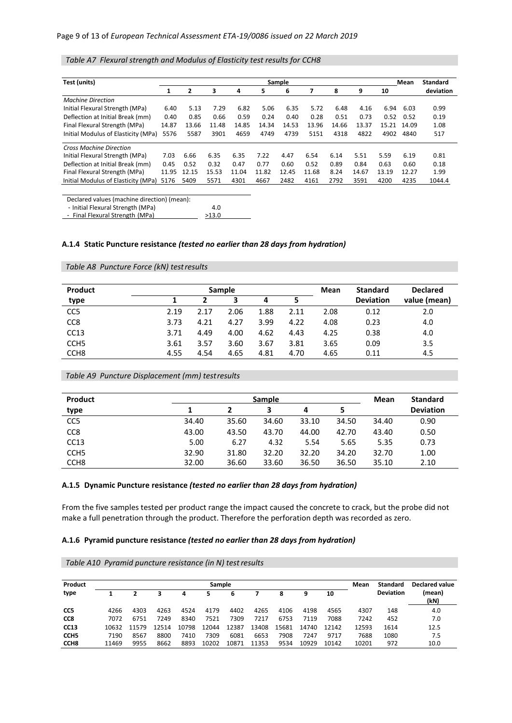# *Table A7 Flexural strength and Modulus of Elasticity test results for CCH8*

| Test (units)                        |       |                |       |       |       | Sample |       |       |       |       | Mean  | <b>Standard</b> |
|-------------------------------------|-------|----------------|-------|-------|-------|--------|-------|-------|-------|-------|-------|-----------------|
|                                     | 1     | $\overline{2}$ | 3     | 4     | 5     | 6      | 7     | 8     | 9     | 10    |       | deviation       |
| <b>Machine Direction</b>            |       |                |       |       |       |        |       |       |       |       |       |                 |
| Initial Flexural Strength (MPa)     | 6.40  | 5.13           | 7.29  | 6.82  | 5.06  | 6.35   | 5.72  | 6.48  | 4.16  | 6.94  | 6.03  | 0.99            |
| Deflection at Initial Break (mm)    | 0.40  | 0.85           | 0.66  | 0.59  | 0.24  | 0.40   | 0.28  | 0.51  | 0.73  | 0.52  | 0.52  | 0.19            |
| Final Flexural Strength (MPa)       | 14.87 | 13.66          | 11.48 | 14.85 | 14.34 | 14.53  | 13.96 | 14.66 | 13.37 | 15.21 | 14.09 | 1.08            |
| Initial Modulus of Elasticity (MPa) | 5576  | 5587           | 3901  | 4659  | 4749  | 4739   | 5151  | 4318  | 4822  | 4902  | 4840  | 517             |
| <b>Cross Machine Direction</b>      |       |                |       |       |       |        |       |       |       |       |       |                 |
| Initial Flexural Strength (MPa)     | 7.03  | 6.66           | 6.35  | 6.35  | 7.22  | 4.47   | 6.54  | 6.14  | 5.51  | 5.59  | 6.19  | 0.81            |
| Deflection at Initial Break (mm)    | 0.45  | 0.52           | 0.32  | 0.47  | 0.77  | 0.60   | 0.52  | 0.89  | 0.84  | 0.63  | 0.60  | 0.18            |
| Final Flexural Strength (MPa)       | 11.95 | 12.15          | 15.53 | 11.04 | 11.82 | 12.45  | 11.68 | 8.24  | 14.67 | 13.19 | 12.27 | 1.99            |
| Initial Modulus of Elasticity (MPa) | 5176  | 5409           | 5571  | 4301  | 4667  | 2482   | 4161  | 2792  | 3591  | 4200  | 4235  | 1044.4          |

Declared values (machine direction) (mean): - Initial Flexural Strength (MPa) 4.0

 - Final Flexural Strength (MPa)  $213.0$ 

# **A.1.4 Static Puncture resistance** *(tested no earlier than 28 days from hydration)*

# *Table A8 Puncture Force (kN) testresults*

| <b>Product</b>   |      |      | <b>Sample</b> |      |      | Mean | <b>Standard</b>  | <b>Declared</b> |
|------------------|------|------|---------------|------|------|------|------------------|-----------------|
| type             |      |      | 3             | 4    |      |      | <b>Deviation</b> | value (mean)    |
| CC <sub>5</sub>  | 2.19 | 2.17 | 2.06          | 1.88 | 2.11 | 2.08 | 0.12             | 2.0             |
| CC <sub>8</sub>  | 3.73 | 4.21 | 4.27          | 3.99 | 4.22 | 4.08 | 0.23             | 4.0             |
| CC13             | 3.71 | 4.49 | 4.00          | 4.62 | 4.43 | 4.25 | 0.38             | 4.0             |
| CCH <sub>5</sub> | 3.61 | 3.57 | 3.60          | 3.67 | 3.81 | 3.65 | 0.09             | 3.5             |
| CCH <sub>8</sub> | 4.55 | 4.54 | 4.65          | 4.81 | 4.70 | 4.65 | 0.11             | 4.5             |

*Table A9 Puncture Displacement (mm) testresults*

| <b>Product</b>   | <b>Sample</b> |       |       |       |       |       | <b>Standard</b>  |
|------------------|---------------|-------|-------|-------|-------|-------|------------------|
| type             |               |       |       | 4     |       |       | <b>Deviation</b> |
| CC <sub>5</sub>  | 34.40         | 35.60 | 34.60 | 33.10 | 34.50 | 34.40 | 0.90             |
| CC <sub>8</sub>  | 43.00         | 43.50 | 43.70 | 44.00 | 42.70 | 43.40 | 0.50             |
| CC13             | 5.00          | 6.27  | 4.32  | 5.54  | 5.65  | 5.35  | 0.73             |
| CCH <sub>5</sub> | 32.90         | 31.80 | 32.20 | 32.20 | 34.20 | 32.70 | 1.00             |
| CCH <sub>8</sub> | 32.00         | 36.60 | 33.60 | 36.50 | 36.50 | 35.10 | 2.10             |

#### **A.1.5 Dynamic Puncture resistance** *(tested no earlier than 28 days from hydration)*

From the five samples tested per product range the impact caused the concrete to crack, but the probe did not make a full penetration through the product. Therefore the perforation depth was recorded as zero.

#### **A.1.6 Pyramid puncture resistance** *(tested no earlier than 28 days from hydration)*

*Table A10 Pyramid puncture resistance (in N) testresults*

| Product          |       |       |       |       | <b>Sample</b> |       |       |       |       |       | Mean  | Standard         | Declared value |
|------------------|-------|-------|-------|-------|---------------|-------|-------|-------|-------|-------|-------|------------------|----------------|
| type             |       |       | 3     | 4     | 5             | 6     |       | 8     | 9     | 10    |       | <b>Deviation</b> | (mean)<br>(kN) |
| CC5              | 4266  | 4303  | 4263  | 4524  | 4179          | 4402  | 4265  | 4106  | 4198  | 4565  | 4307  | 148              | 4.0            |
| CC <sub>8</sub>  | 7072  | 6751  | 7249  | 8340  | 7521          | 7309  | 7217  | 6753  | 7119  | 7088  | 7242  | 452              | 7.0            |
| <b>CC13</b>      | 10632 | 11579 | 12514 | 10798 | 12044         | 12387 | 13408 | 15681 | 14740 | 12142 | 12593 | 1614             | 12.5           |
| CCH <sub>5</sub> | 7190  | 8567  | 8800  | 7410  | 7309          | 6081  | 6653  | 7908  | 7247  | 9717  | 7688  | 1080             | 7.5            |
| CCH <sub>8</sub> | 11469 | 9955  | 8662  | 8893  | 10202         | 10871 | 11353 | 9534  | 10929 | 10142 | 10201 | 972              | 10.0           |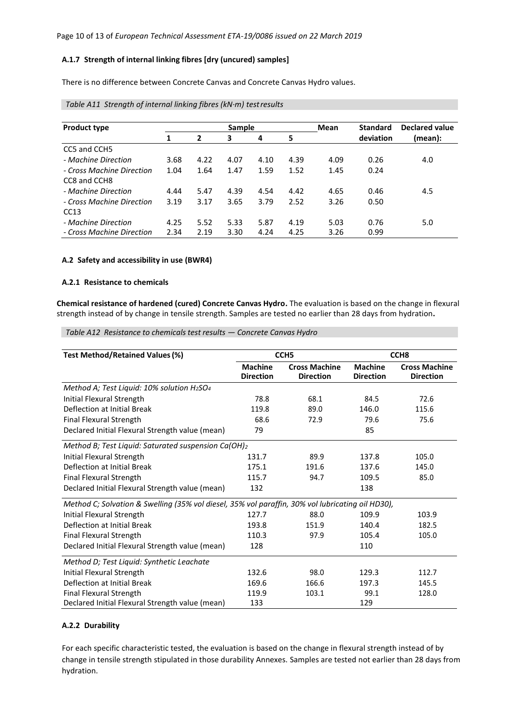#### **A.1.7 Strength of internal linking fibres [dry (uncured) samples]**

There is no difference between Concrete Canvas and Concrete Canvas Hydro values.

| <b>Product type</b>       |      |                | Sample |      |      | Mean | <b>Standard</b> | Declared value |
|---------------------------|------|----------------|--------|------|------|------|-----------------|----------------|
|                           |      | $\overline{2}$ | 3      | 4    | 5    |      | deviation       | (mean):        |
| CC5 and CCH5              |      |                |        |      |      |      |                 |                |
| - Machine Direction       | 3.68 | 4.22           | 4.07   | 4.10 | 4.39 | 4.09 | 0.26            | 4.0            |
| - Cross Machine Direction | 1.04 | 1.64           | 1.47   | 1.59 | 1.52 | 1.45 | 0.24            |                |
| CC8 and CCH8              |      |                |        |      |      |      |                 |                |
| - Machine Direction       | 4.44 | 5.47           | 4.39   | 4.54 | 4.42 | 4.65 | 0.46            | 4.5            |
| - Cross Machine Direction | 3.19 | 3.17           | 3.65   | 3.79 | 2.52 | 3.26 | 0.50            |                |
| CC13                      |      |                |        |      |      |      |                 |                |
| - Machine Direction       | 4.25 | 5.52           | 5.33   | 5.87 | 4.19 | 5.03 | 0.76            | 5.0            |
| - Cross Machine Direction | 2.34 | 2.19           | 3.30   | 4.24 | 4.25 | 3.26 | 0.99            |                |

# *Table A11 Strength of internal linking fibres (kN·m) testresults*

### **A.2 Safety and accessibility in use (BWR4)**

#### **A.2.1 Resistance to chemicals**

**Chemical resistance of hardened (cured) Concrete Canvas Hydro.** The evaluation is based on the change in flexural strength instead of by change in tensile strength. Samples are tested no earlier than 28 days from hydration**.**

# *Table A12 Resistance to chemicals test results — Concrete Canvas Hydro*

| <b>Test Method/Retained Values (%)</b>                                                           |                                    | CCH <sub>5</sub>                         |                                    | CCH <sub>8</sub>                         |
|--------------------------------------------------------------------------------------------------|------------------------------------|------------------------------------------|------------------------------------|------------------------------------------|
|                                                                                                  | <b>Machine</b><br><b>Direction</b> | <b>Cross Machine</b><br><b>Direction</b> | <b>Machine</b><br><b>Direction</b> | <b>Cross Machine</b><br><b>Direction</b> |
| Method A; Test Liquid: $10\%$ solution H <sub>2</sub> SO <sub>4</sub>                            |                                    |                                          |                                    |                                          |
| Initial Flexural Strength                                                                        | 78.8                               | 68.1                                     | 84.5                               | 72.6                                     |
| Deflection at Initial Break                                                                      | 119.8                              | 89.0                                     | 146.0                              | 115.6                                    |
| Final Flexural Strength                                                                          | 68.6                               | 72.9                                     | 79.6                               | 75.6                                     |
| Declared Initial Flexural Strength value (mean)                                                  | 79                                 |                                          | 85                                 |                                          |
| Method B; Test Liquid: Saturated suspension Ca(OH)2                                              |                                    |                                          |                                    |                                          |
| Initial Flexural Strength                                                                        | 131.7                              | 89.9                                     | 137.8                              | 105.0                                    |
| Deflection at Initial Break                                                                      | 175.1                              | 191.6                                    | 137.6                              | 145.0                                    |
| Final Flexural Strength                                                                          | 115.7                              | 94.7                                     | 109.5                              | 85.0                                     |
| Declared Initial Flexural Strength value (mean)                                                  | 132                                |                                          | 138                                |                                          |
| Method C; Solvation & Swelling (35% vol diesel, 35% vol paraffin, 30% vol lubricating oil HD30), |                                    |                                          |                                    |                                          |
| Initial Flexural Strength                                                                        | 127.7                              | 88.0                                     | 109.9                              | 103.9                                    |
| Deflection at Initial Break                                                                      | 193.8                              | 151.9                                    | 140.4                              | 182.5                                    |
| <b>Final Flexural Strength</b>                                                                   | 110.3                              | 97.9                                     | 105.4                              | 105.0                                    |
| Declared Initial Flexural Strength value (mean)                                                  | 128                                |                                          | 110                                |                                          |
| Method D; Test Liquid: Synthetic Leachate                                                        |                                    |                                          |                                    |                                          |
| Initial Flexural Strength                                                                        | 132.6                              | 98.0                                     | 129.3                              | 112.7                                    |
| Deflection at Initial Break                                                                      | 169.6                              | 166.6                                    | 197.3                              | 145.5                                    |
| Final Flexural Strength                                                                          | 119.9                              | 103.1                                    | 99.1                               | 128.0                                    |
| Declared Initial Flexural Strength value (mean)                                                  | 133                                |                                          | 129                                |                                          |

#### **A.2.2 Durability**

For each specific characteristic tested, the evaluation is based on the change in flexural strength instead of by change in tensile strength stipulated in those durability Annexes. Samples are tested not earlier than 28 days from hydration.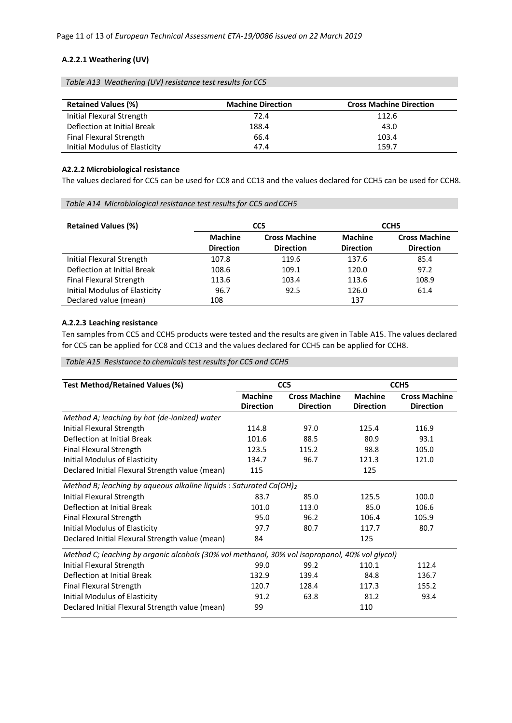# **A.2.2.1 Weathering (UV)**

*Table A13 Weathering (UV) resistance test results forCC5*

| <b>Retained Values (%)</b>    | <b>Machine Direction</b> | <b>Cross Machine Direction</b> |
|-------------------------------|--------------------------|--------------------------------|
| Initial Flexural Strength     | 72.4                     | 112.6                          |
| Deflection at Initial Break   | 188.4                    | 43.0                           |
| Final Flexural Strength       | 66.4                     | 103.4                          |
| Initial Modulus of Elasticity | 47.4                     | 159.7                          |

# **A2.2.2 Microbiological resistance**

The values declared for CC5 can be used for CC8 and CC13 and the values declared for CCH5 can be used for CCH8.

*Table A14 Microbiological resistance test results for CC5 andCCH5*

| <b>Retained Values (%)</b>    |                  | CC5                  |                  | CCH <sub>5</sub>     |
|-------------------------------|------------------|----------------------|------------------|----------------------|
|                               | <b>Machine</b>   | <b>Cross Machine</b> | <b>Machine</b>   | <b>Cross Machine</b> |
|                               | <b>Direction</b> | <b>Direction</b>     | <b>Direction</b> | <b>Direction</b>     |
| Initial Flexural Strength     | 107.8            | 119.6                | 137.6            | 85.4                 |
| Deflection at Initial Break   | 108.6            | 109.1                | 120.0            | 97.2                 |
| Final Flexural Strength       | 113.6            | 103.4                | 113.6            | 108.9                |
| Initial Modulus of Elasticity | 96.7             | 92.5                 | 126.0            | 61.4                 |
| Declared value (mean)         | 108              |                      | 137              |                      |

# **A.2.2.3 Leaching resistance**

Ten samples from CC5 and CCH5 products were tested and the results are given in Table A15. The values declared for CC5 can be applied for CC8 and CC13 and the values declared for CCH5 can be applied for CCH8.

# *Table A15 Resistance to chemicals test results for CC5 and CCH5*

| <b>Test Method/Retained Values (%)</b>                                                         |                                    | CC <sub>5</sub>                          |                                    | CCH <sub>5</sub>                         |
|------------------------------------------------------------------------------------------------|------------------------------------|------------------------------------------|------------------------------------|------------------------------------------|
|                                                                                                | <b>Machine</b><br><b>Direction</b> | <b>Cross Machine</b><br><b>Direction</b> | <b>Machine</b><br><b>Direction</b> | <b>Cross Machine</b><br><b>Direction</b> |
| Method A; leaching by hot (de-ionized) water                                                   |                                    |                                          |                                    |                                          |
| Initial Flexural Strength                                                                      | 114.8                              | 97.0                                     | 125.4                              | 116.9                                    |
| Deflection at Initial Break                                                                    | 101.6                              | 88.5                                     | 80.9                               | 93.1                                     |
| <b>Final Flexural Strength</b>                                                                 | 123.5                              | 115.2                                    | 98.8                               | 105.0                                    |
| Initial Modulus of Elasticity                                                                  | 134.7                              | 96.7                                     | 121.3                              | 121.0                                    |
| Declared Initial Flexural Strength value (mean)                                                | 115                                |                                          | 125                                |                                          |
| Method B; leaching by aqueous alkaline liquids : Saturated Ca(OH)2                             |                                    |                                          |                                    |                                          |
| Initial Flexural Strength                                                                      | 83.7                               | 85.0                                     | 125.5                              | 100.0                                    |
| Deflection at Initial Break                                                                    | 101.0                              | 113.0                                    | 85.0                               | 106.6                                    |
| <b>Final Flexural Strength</b>                                                                 | 95.0                               | 96.2                                     | 106.4                              | 105.9                                    |
| Initial Modulus of Elasticity                                                                  | 97.7                               | 80.7                                     | 117.7                              | 80.7                                     |
| Declared Initial Flexural Strength value (mean)                                                | 84                                 |                                          | 125                                |                                          |
| Method C; leaching by organic alcohols (30% vol methanol, 30% vol isopropanol, 40% vol glycol) |                                    |                                          |                                    |                                          |
| Initial Flexural Strength                                                                      | 99.0                               | 99.2                                     | 110.1                              | 112.4                                    |
| Deflection at Initial Break                                                                    | 132.9                              | 139.4                                    | 84.8                               | 136.7                                    |
| <b>Final Flexural Strength</b>                                                                 | 120.7                              | 128.4                                    | 117.3                              | 155.2                                    |
| Initial Modulus of Elasticity                                                                  | 91.2                               | 63.8                                     | 81.2                               | 93.4                                     |
| Declared Initial Flexural Strength value (mean)                                                | 99                                 |                                          | 110                                |                                          |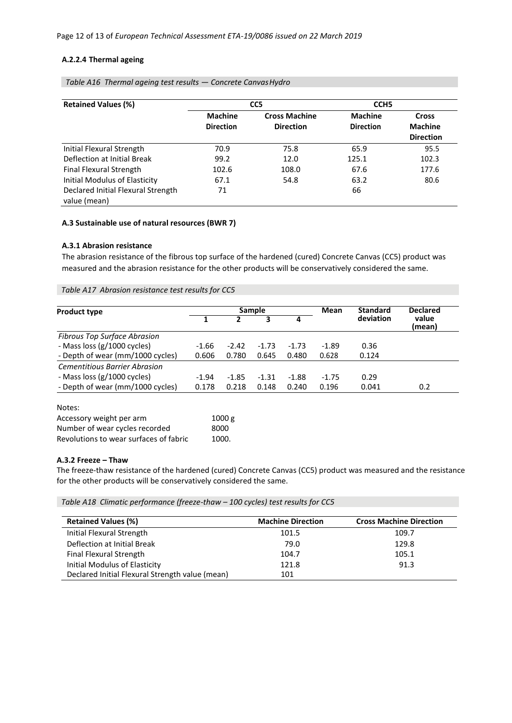#### **A.2.2.4 Thermal ageing**

| <b>Retained Values (%)</b>                         |                                    | CC <sub>5</sub>                          | CCH <sub>5</sub>                   |                                                    |
|----------------------------------------------------|------------------------------------|------------------------------------------|------------------------------------|----------------------------------------------------|
|                                                    | <b>Machine</b><br><b>Direction</b> | <b>Cross Machine</b><br><b>Direction</b> | <b>Machine</b><br><b>Direction</b> | <b>Cross</b><br><b>Machine</b><br><b>Direction</b> |
| Initial Flexural Strength                          | 70.9                               | 75.8                                     | 65.9                               | 95.5                                               |
| Deflection at Initial Break                        | 99.2                               | 12.0                                     | 125.1                              | 102.3                                              |
| Final Flexural Strength                            | 102.6                              | 108.0                                    | 67.6                               | 177.6                                              |
| <b>Initial Modulus of Elasticity</b>               | 67.1                               | 54.8                                     | 63.2                               | 80.6                                               |
| Declared Initial Flexural Strength<br>value (mean) | 71                                 |                                          | 66                                 |                                                    |

*Table A16 Thermal ageing test results — Concrete CanvasHydro*

### **A.3 Sustainable use of natural resources (BWR 7)**

#### **A.3.1 Abrasion resistance**

The abrasion resistance of the fibrous top surface of the hardened (cured) Concrete Canvas (CC5) product was measured and the abrasion resistance for the other products will be conservatively considered the same.

*Table A17 Abrasion resistance test results for CC5*

| <b>Product type</b>                  |         |         | Sample  |         | <b>Mean</b> | <b>Standard</b> | <b>Declared</b> |
|--------------------------------------|---------|---------|---------|---------|-------------|-----------------|-----------------|
|                                      |         |         |         | 4       |             | deviation       | value<br>(mean) |
| <b>Fibrous Top Surface Abrasion</b>  |         |         |         |         |             |                 |                 |
| - Mass loss (g/1000 cycles)          | $-1.66$ | $-2.42$ | $-1.73$ | $-1.73$ | $-1.89$     | 0.36            |                 |
| - Depth of wear (mm/1000 cycles)     | 0.606   | 0.780   | 0.645   | 0.480   | 0.628       | 0.124           |                 |
| <b>Cementitious Barrier Abrasion</b> |         |         |         |         |             |                 |                 |
| - Mass loss (g/1000 cycles)          | $-1.94$ | $-1.85$ | $-1.31$ | $-1.88$ | $-1.75$     | 0.29            |                 |
| - Depth of wear (mm/1000 cycles)     | 0.178   | 0.218   | 0.148   | 0.240   | 0.196       | 0.041           | 0.2             |

Notes:

| Accessory weight per arm               | 1000 g |
|----------------------------------------|--------|
| Number of wear cycles recorded         | 8000   |
| Revolutions to wear surfaces of fabric | 1000.  |

#### **A.3.2 Freeze – Thaw**

The freeze-thaw resistance of the hardened (cured) Concrete Canvas (CC5) product was measured and the resistance for the other products will be conservatively considered the same.

*Table A18 Climatic performance (freeze-thaw – 100 cycles) test results for CC5*

| <b>Retained Values (%)</b>                      | <b>Machine Direction</b> | <b>Cross Machine Direction</b> |
|-------------------------------------------------|--------------------------|--------------------------------|
| Initial Flexural Strength                       | 101.5                    | 109.7                          |
| Deflection at Initial Break                     | 79.0                     | 129.8                          |
| Final Flexural Strength                         | 104.7                    | 105.1                          |
| Initial Modulus of Elasticity                   | 121.8                    | 91.3                           |
| Declared Initial Flexural Strength value (mean) | 101                      |                                |